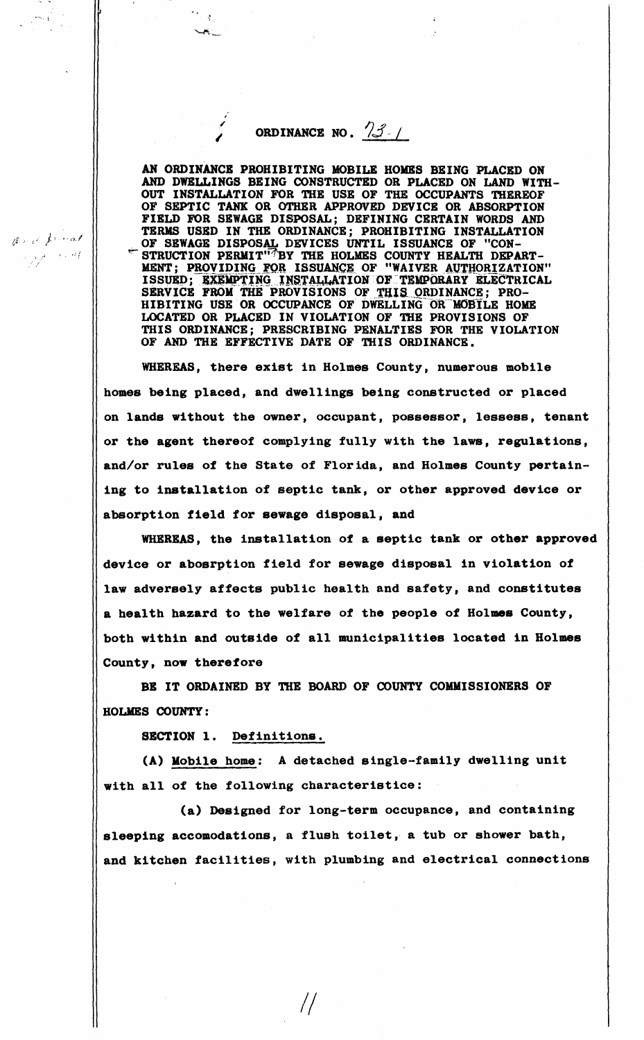## ORDINANCE NO.  $\frac{1}{3}$

 $\frac{1}{2}$ 

ارتجاب

AN ORDINANCE PROHIBITING MOBILE HOMES BEING PLACED ON AND DWELLINGS BEING CONSTRUCTED OR PLACED ON LAND WITH-OUT INSTALLATION FOR THE USE OF THE OCCUPANTS 'fflEREOF OF SEPTIC TANK OR OTHER APPROVED DEVICE OR ABSORPTION FIELD FOR SEWAGE DISPOSAL; DEFINING CERTAIN WORDS AND TERMS USED IN THE ORDINANCE; PROHIBITING INSTALLATION OF **SEWAGE** DISPOSAL DEVICES UNTIL ISSUANCE OF "CON- ~ STRUCTION **PERIIIT'i°1'BY** 'fflE HOLMES COUNTY HEALTH DEPART-MENT; PROVIDING FOR ISSUANCE OF "WAIVER AVTHORIZATION" ISSUED; EXEMPTING INSTALLATION OF TEMPORARY ELECTRICAL SERVICE FROM THE PROVISIONS OF THIS ORDINANCE; PRO-HIBITING USE OR OCCUPANCE OF DWELLING OR MOBILE HOME LOCATED OR PLACED IN VIOLATION OF THE PROVISIONS OF THIS ORDINANCE; PRESCRIBING PENALTIES FOR THE VIOLATION OF AND THE EFFECTIVE DATE OF THIS ORDINANCE.

WHEREAS, there exist in Holmes County, numerous mobile homes being placed, and dwellings being constructed or placed on lands without the owner, occupant, possessor, lessees, tenant or the agent thereof complying fully with the laws, regulations, and/or rules of the State of Florida, and Holmes County pertaining to installation of septic tank, or other approved device or absorption field for **sewage** disposal, and

WHEREAS, the installation of a septic tank or other approved device or abosrption field for sewage disposal in violation of law adversely affects public health and safety, and constitutes a health hazard to the welfare of the people of Holmes County, both within and outside of all municipalities located in Holmes County, now therefore

BB IT ORDAINED BY THE BOARD OF COUNTY COMMISSIONERS OF HOLMES COUNTY:

SECTION 1. Definitions.

(A) Mobile home: A detached single-family dwelling unit with all of the following characteristice:

(a) Designed for long-term occupance, and containing **sleeping** accomodations, a flush toilet, a tub or shower bath, and kitchen facilities, with plumbing and electrical connections

*II* 

Ond funct  $\lambda^{A=3+4l}$ 

ma p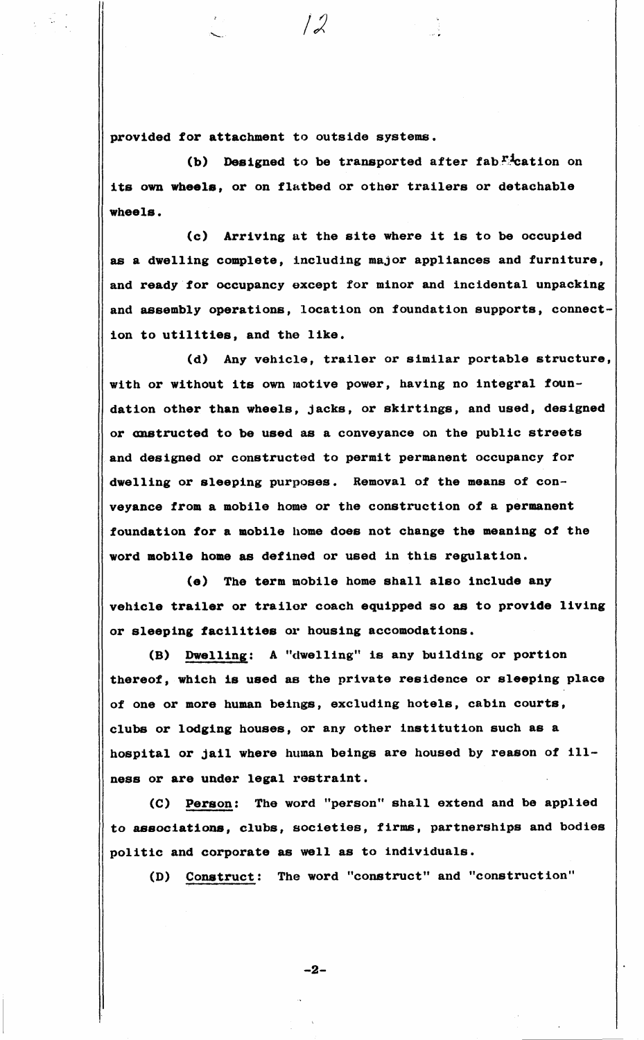provided for attachment to outside systems.

(b) Designed to be transported after fab."<sup>1</sup>cation on its own **wheels,** or on flatbed or other trailers or detachable **wheels.** 

(c) Arriving at the site where it is to be occupied as a dwelling complete, including major appliances and furniture, and ready for occupancy except for minor and incidental unpacking and assembly operations, location on foundation supports, connection to utilities, and the like.

(d) Any vehicle, trailer or similar portable structure, with or without its own motive power, having no integral foundation other than wheels, jacks, or skirtings, and used, designed or anstructed to be used as a conveyance on the public streets and designed or constructed to permit permanent occupancy for dwelling or sleeping purposes. Removal of the means of conveyance from a mobile home or the construction of a permanent foundation for a mobile home does not change the meaning of the word mobile home as defined or used in this regulation.

(e) The term mobile home shall also include any vehicle trailer or trailer coach equipped so as to provide living or **sleeping facilities** 01· housing accomodations.

**(B) Dwelling:** A "dwelling" is any building or portion thereof, which **is used as** the private residence or **sleeping** place of one or **more** human beings, excluding hotels, cabin courts, clubs or **lodging** houses, or any other institution such **as a**  hospital or jail where human beings are housed by reason of ill**ness** or are under legal restraint.

(C) Person: The word "person" shall extend and be applied to **associations,** clubs, societies, firms, partnerships and bodies politic and corporate as well as to individuals.

(D) Construct: The word "construct" and "construction"

-2-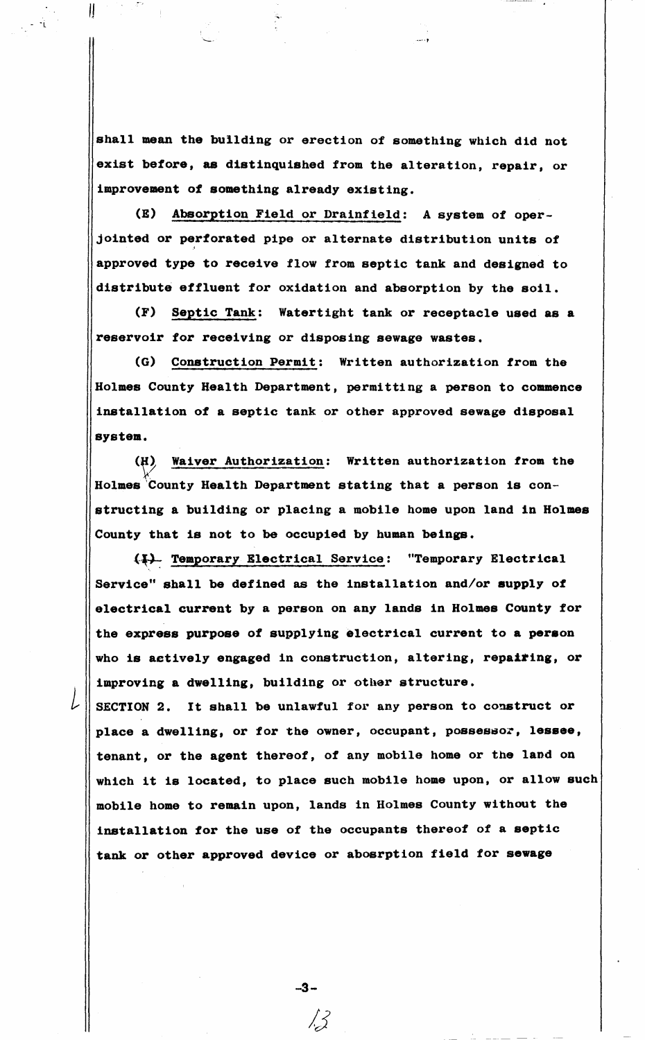shall mean the building or erection of something which did not exist before, as distinquished from the alteration, repair, or improvement of something already existing.

 $\parallel$ 

*l* 

(E) Absorption Field or Drainfield: A system of operjointed or perforated pipe or alternate distribution units of approved type to receive flow from septic tank and designed to distribute effluent for oxidation and absorption by the soil.

(F) Septic Tank: Watertight tank or receptacle used **as a**  reservoir for receiving or disposing sewage wastes.

(G) Construction Permit: Written authorization from the Holmes County Health Department, permitting a person to **commence**  installation of a septic tank or other approved sewage disposal **system.** 

(H) Waiver Authorization: Written authorization from the Holmes County Health Department stating that a person is constructing a building or placing a mobile home upon land in Holmes County that is not to be occupied by human **beings.** 

(#) Temporary Electrical Service: "Temporary Electrical Service" shall be defined as the installation and/or **supply** of electrical current by a person on any lands in Holmes County for the **express purpose** of supplying electrical current to **a peraon**  who is actively engaged in construction, altering, repatring, or improving a dwelling, building or other structure.

SECTION 2. It shall be unlawful for any person to construct or place a dwelling, or for the owner, occupant, possessor, lessee, tenant, or the agent thereof, of any mobile home or the land on which it is located, to place such mobile home upon, or allow such mobile home to remain upon, lands in Holmes County without the installation for the use of the occupants thereof of a septic tank or other approved device or abosrption field for **sewage** 

-3-

*/J*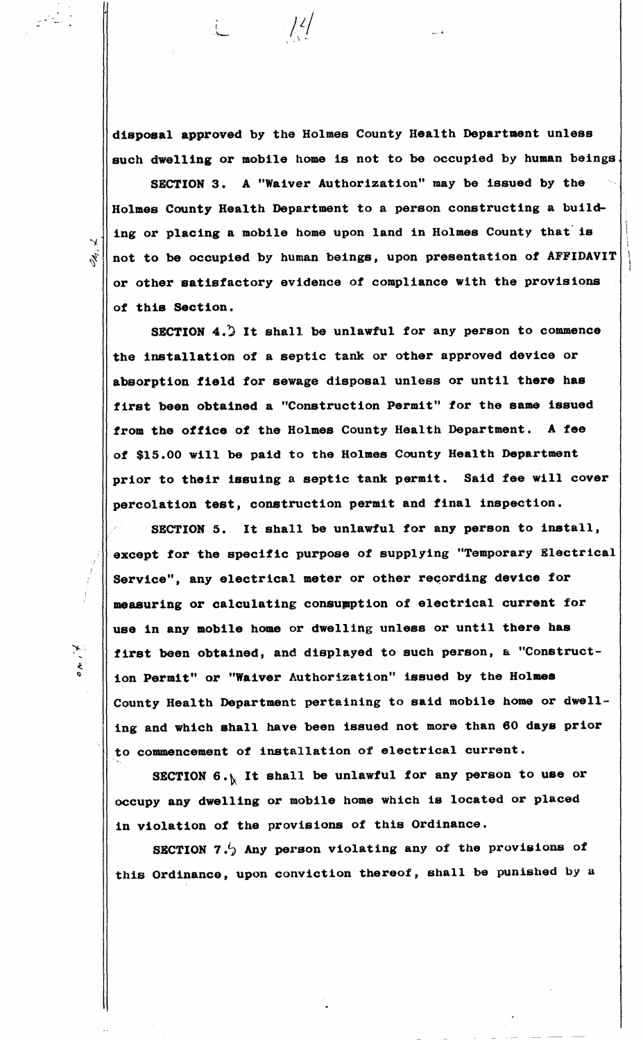**disposal approved** by the Holmes County Health Department unless such dwelling or mobile home is not to be occupied by human beings.

<sup>I</sup>/L/ ·'-- -·· . . \ .

SECTION 3, A "Waiver Authorization" may be issued by the Holmes County Health Department to a person constructing a building or placing a mobile home upon land in Holmes County that is  $x^*$  not to be occupied by human beings, upon presentation of AFFIDAVIT or other satisfactory evidence of compliance with the provisions of this Section.

SECTION 4.) It shall be unlawful for any person to commence the installation of a septic tank or other approved device or absorption field for sewage disposal unless or until there has first been obtained a "Construction Permit" for the same issued from the office of the Holmes County Health Department. A fee of \$15.00 will be paid to the Holmes County Health Department prior to their issuing a septic tank permit. Said fee will cover percolation test, construction permit and final inspection.

SECTION 5. It shall be unlawful for any person to install, except for the specific purpose of supplying "Temporary Electrical Service", any electrical meter or other recording device for measuring or calculating consumption of electrical current for use in any mobile home or dwelling unless or until there has first been obtained, and displayed to such person, a "Construction Permit" or "Waiver Authorization" issued by the Holmes County Health Department pertaining to said mobile home or dwelling and which shall have been issued not more than 60 **days** prior to commencement of installation of electrical current.

SECTION  $6.$ . It shall be unlawful for any person to use or occupy any dwelling or mobile home which is located or placed in violation of the provisions of this Ordinance.

SECTION 7. $\frac{1}{2}$  Any person violating any of the provisions of this Ordinance, upon conviction thereof, shall be punished by a

 $\sim$ 

 $\star^{\prime\prime\omega}$ 

- .

...